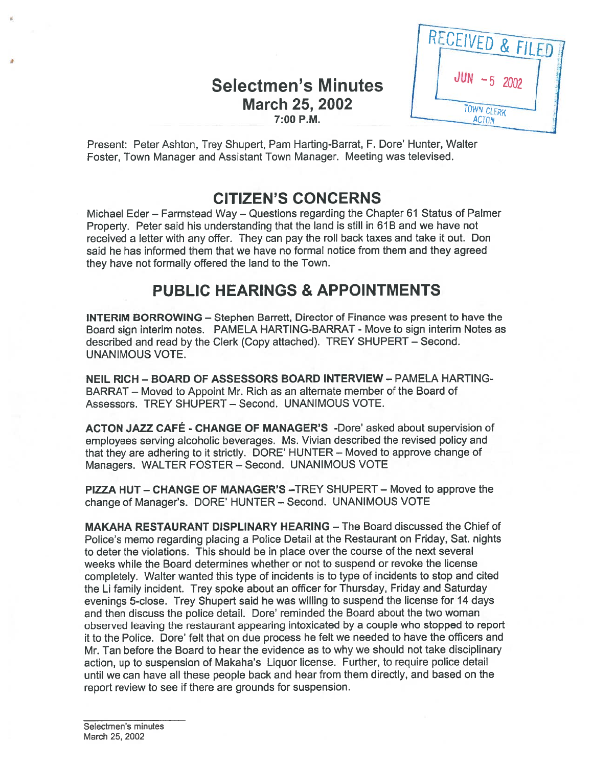### Selectmen's Minutes March 25, 2002 7:00 P.M.

RECEIVED & FILED TOWN CLERK **ACTON** 

Present: Peter Ashton, Trey Shupert, Pam Harting-Barrat, F. Dore' Hunter, Walter Foster, Town Manager and Assistant Town Manager. Meeting was televised.

# CITIZEN'S CONCERNS

Michael Eder — Farmstead Way — Questions regarding the Chapter 61 Status of Palmer Property. Peter said his understanding that the land is still in 61B and we have not received <sup>a</sup> letter with any offer. They can pay the roll back taxes and take it out. Don said he has informed them that we have no formal notice from them and they agreed they have not formally offered the land to the Town.

# PUBLIC HEARINGS & APPOINTMENTS

INTERIM BORROWING — Stephen Barrett, Director of Finance was presen<sup>t</sup> to have the Board sign interim notes. PAMELA HARTING-BARRAT - Move to sign interim Notes as described and read by the Clerk (Copy attached). TREY SHUPERT — Second. UNANIMOUS VOTE.

NEIL RICH - BOARD OF ASSESSORS BOARD INTERVIEW - PAMELA HARTING-BARRAT — Moved to Appoint Mr. Rich as an alternate member of the Board of Assessors. TREY SHUPERT — Second. UNANIMOUS VOTE.

ACTON JAZZ CAFÉ - CHANGE OF MANAGER'S -Dore' asked about supervision of employees serving alcoholic beverages. Ms. Vivian described the revised policy and that they are adhering to it strictly. DORE' HUNTER — Moved to approve change of Managers. WALTER FOSTER — Second. UNANIMOUS VOTE

PIZZA HUT — CHANGE OF MANAGER'S —TREY SHUPERT — Moved to approve the change of Manager's. DORE' HUNTER — Second. UNANIMOUS VOTE

MAKAHA RESTAURANT DISPLINARY HEARING — The Board discussed the Chief of Police's memo regarding <sup>p</sup>lacing <sup>a</sup> Police Detail at the Restaurant on Friday, Sat. nights to deter the violations. This should be in place over the course of the next several weeks while the Board determines whether or not to suspend or revoke the license completely. Walter wanted this type of incidents is to type of incidents to stop and cited the Li family incident. Trey spoke about an officer for Thursday, Friday and Saturday evenings 5-close. Trey Shupert said he was willing to suspend the license for <sup>14</sup> days and then discuss the police detail. Dore' reminded the Board about the two woman observed leaving the restaurant appearing intoxicated by <sup>a</sup> couple who stopped to repor<sup>t</sup> it to the Police. Dore' felt that on due process he felt we needed to have the officers and Mr. Tan before the Board to hear the evidence as to why we should not take disciplinary action, up to suspension of Makaha's Liquor license. Further, to require police detail until we can have all these people back and hear from them directly, and based on the repor<sup>t</sup> review to see if there are grounds for suspension.

Selectmen's minutes March 25, 2002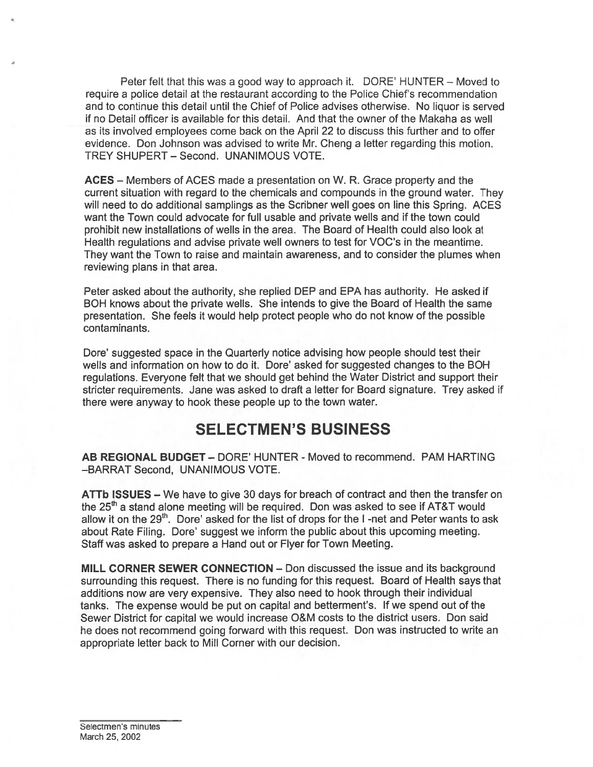Peter felt that this was <sup>a</sup> good way to approach it. DORE' HUNTER — Moved to require <sup>a</sup> police detail at the restaurant according to the Police Chief's recommendation and to continue this detail until the Chief of Police advises otherwise. No liquor is served if no Detail officer is available for this detail. And that the owner of the Makaha as well as its involved employees come back on the April 22 to discuss this further and to offer evidence. Don Johnson was advised to write Mr. Cheng <sup>a</sup> letter regarding this motion. TREY SHUPERT — Second. UNANIMOUS VOTE.

ACES — Members of ACES made <sup>a</sup> presentation on W. R. Grace property and the current situation with regard to the chemicals and compounds in the ground water. They will need to do additional samplings as the Scribner well goes on line this Spring. ACES want the Town could advocate for full usable and private wells and if the town could prohibit new installations of wells in the area. The Board of Health could also look at Health regulations and advise private well owners to test for VOC's in the meantime. They want the Town to raise and maintain awareness, and to consider the plumes when reviewing plans in that area.

Peter asked about the authority, she replied DEP and EPA has authority. He asked if BOH knows about the private wells. She intends to give the Board of Health the same presentation. She feels it would help protect people who do not know of the possible contaminants.

Dore' suggested space in the Quarterly notice advising how people should test their wells and information on how to do it. Dore' asked for suggested changes to the BOH regulations. Everyone felt that we should ge<sup>t</sup> behind the Water District and suppor<sup>t</sup> their stricter requirements. Jane was asked to draft <sup>a</sup> letter for Board signature. Trey asked if there were anyway to hook these people up to the town water.

### SELECTMEN'S BUSINESS

AB REGIONAL BUDGET — DORE' HUNTER - Moved to recommend. PAM HARTING —BARRAT Second, UNANIMOUS VOTE.

ATTb ISSUES — We have to give 30 days for breach of contract and then the transfer on the  $25<sup>th</sup>$  a stand alone meeting will be required. Don was asked to see if AT&T would allow it on the  $29<sup>th</sup>$ . Dore' asked for the list of drops for the I-net and Peter wants to ask about Rate Filing. Dore' suggest we inform the public about this upcoming meeting. Staff was asked to prepare <sup>a</sup> Hand out or Flyer for Town Meeting.

MILL CORNER SEWER CONNECTION — Don discussed the issue and its background surrounding this request. There is no funding for this request. Board of Health says that additions now are very expensive. They also need to hook through their individual tanks. The expense would be pu<sup>t</sup> on capital and betterment's. If we spend out of the Sewer District for capital we would increase O&M costs to the district users. Don said he does not recommend going forward with this request. Don was instructed to write an appropriate letter back to Mill Corner with our decision.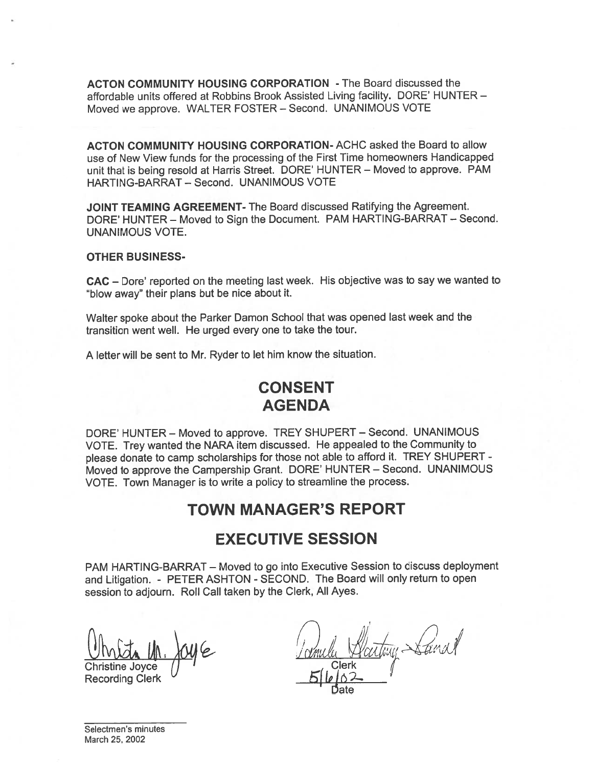ACTON COMMUNITY HOUSING CORPORATION - The Board discussed the affordable units offered at Robbins Brook Assisted Living facility. DORE' HUNTER — Moved we approve. WALTER FOSTER — Second. UNANIMOUS VOTE

ACTON COMMUNITY HOUSING CORPORATION- ACHC asked the Board to allow use of New View funds for the processing of the First Time homeowners Handicapped unit that is being resold at Harris Street. DORE' HUNTER — Moved to approve. PAM HARTING-BARRAT — Second. UNANIMOUS VOTE

JOINT TEAMING AGREEMENT- The Board discussed Ratifying the Agreement. DORE' HUNTER — Moved to Sign the Document. PAM HARTING-BARRAT — Second. UNANIMOUS VOTE.

#### OTHER BUSINESS

CAC – Dore' reported on the meeting last week. His objective was to say we wanted to 'blow away" their plans but be nice about it.

Walter spoke about the Parker Damon School that was opene<sup>d</sup> last week and the transition went well. He urged every one to take the tour.

<sup>A</sup> letter will be sent to Mr. Ryder to let him know the situation.

## CONSENT AGENDA

DORE' HUNTER — Moved to approve. TREY SHUPERT — Second. UNANIMOUS VOTE. Trey wanted the NARA item discussed. He appealed to the Community to <sup>p</sup>lease donate to camp scholarships for those not able to afford it. TREY SHUPERT - Moved to approve the Campership Grant. DORE' HUNTER — Second. UNANIMOUS VOTE. Town Manager is to write <sup>a</sup> policy to streamline the process.

### TOWN MANAGER'S REPORT

#### EXECUTIVE SESSION

PAM HARTING-BARRAT — Moved to go into Executive Session to discuss deployment and Litigation. - PETER ASHTON - SECOND. The Board will only return to open session to adjourn. Roll Call taken by the Clerk, All Ayes.

Christine Joyce

Recording Clerk

Clerk atomy Sanal  $\int$ 

Date

Selectmen's minutes March 25, 2002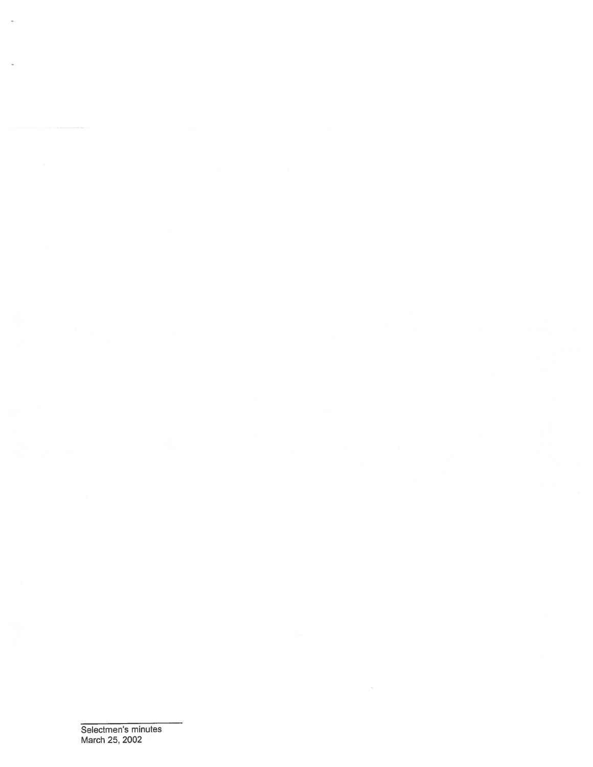Selectmen's minutes March 25, 2002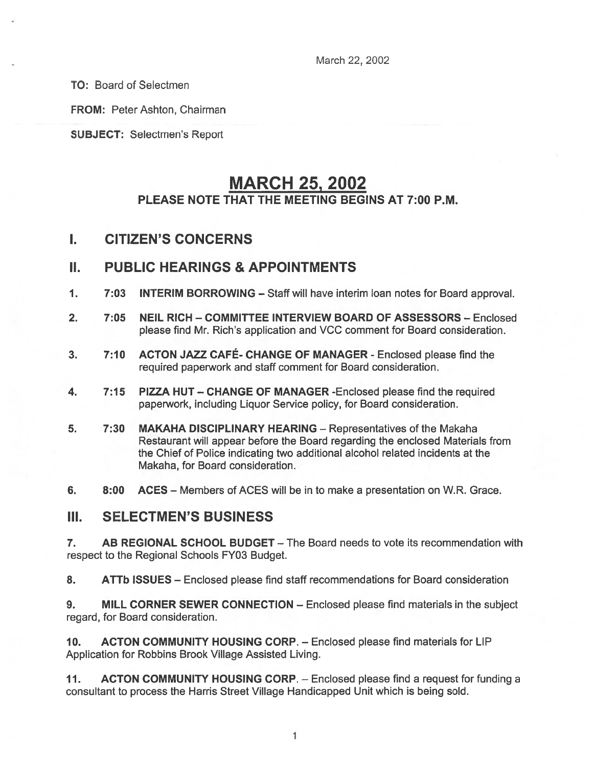March 22, 2002

TO: Board of Selectmen

FROM: Peter Ashton, Chairman

SUBJECT: Selectmen's Report

# MARCH 25, 2002

### PLEASE NOTE THAT THE MEETING BEGINS AT 7:00 P.M.

#### I. CITIZEN'S CONCERNS

#### II. PUBLIC HEARINGS & APPOINTMENTS

- 1. 7:03 INTERIM BORROWING Staff will have interim loan notes for Board approval.
- 2. 7:05 NEIL RICH COMMITTEE INTERVIEW BOARD OF ASSESSORS Enclosed please find Mr. Rich's application and VCC comment for Board consideration.
- 3. 7:10 ACTON JAZZ CAFÉ- CHANGE OF MANAGER Enclosed <sup>p</sup>lease find the required paperwork and staff comment for Board consideration.
- 4. 7:15 PIZZA HUT CHANGE OF MANAGER -Enclosed please find the required paperwork, including Liquor Service policy, for Board consideration.
- 5. 7:30 MAKAHA DISCIPLINARY HEARING Representatives of the Makaha Restaurant will appear before the Board regarding the enclosed Materials from the Chief of Police indicating two additional alcohol related incidents at the Makaha, for Board consideration.
- 6. 8:00 ACES Members of ACES will be in to make <sup>a</sup> presentation on W.R. Grace.

#### III. SELECTMEN'S BUSINESS

7. AB REGIONAL SCHOOL BUDGET — The Board needs to vote its recommendation with respec<sup>t</sup> to the Regional Schools FY03 Budget.

8. ATTb ISSUES – Enclosed please find staff recommendations for Board consideration

9. MILL CORNER SEWER CONNECTION – Enclosed please find materials in the subject regard, for Board consideration.

10. ACTON COMMUNITY HOUSING CORP. — Enclosed please find materials for LIP Application for Robbins Brook Village Assisted Living.

11. ACTON COMMUNITY HOUSING CORP. — Enclosed please find <sup>a</sup> reques<sup>t</sup> for funding <sup>a</sup> consultant to process the Harris Street Village Handicapped Unit which is being sold.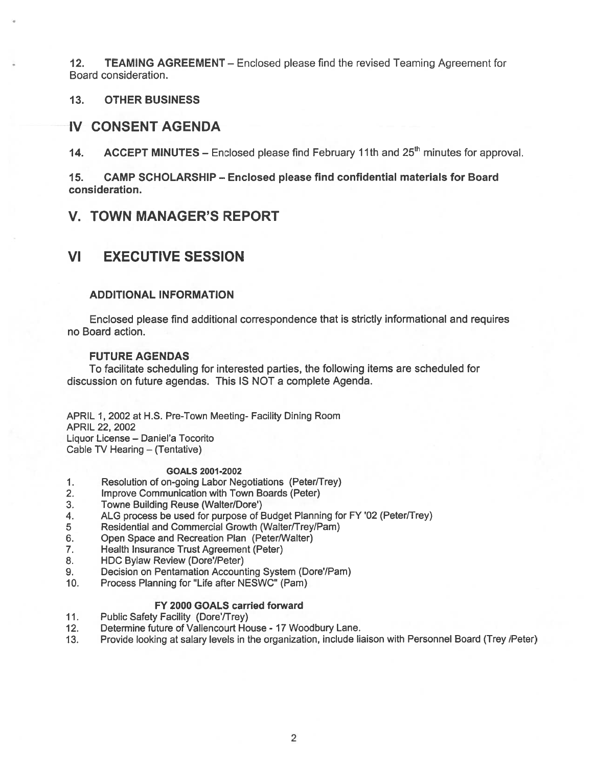12. TEAMING AGREEMENT — Enclosed please find the revised Teaming Agreement for Board consideration.

13. OTHER BUSINESS

#### IV CONSENT AGENDA

14. ACCEPT MINUTES – Enclosed please find February 11th and  $25<sup>th</sup>$  minutes for approval.

15. CAMP SCHOLARSHIP — Enclosed please find confidential materials for Board consideration.

#### V. TOWN MANAGER'S REPORT

### VI EXECUTIVE SESSION

#### ADDITIONAL INFORMATION

Enclosed please find additional correspondence that is strictly informational and requires no Board action.

#### FUTURE AGENDAS

To facilitate scheduling for interested parties, the following items are scheduled for discussion on future agendas. This IS NOT <sup>a</sup> complete Agenda.

APRIL 1, 2002 at H.S. Pre-Town Meeting- Facility Dining Room APRIL 22, 2002 Liquor License — Daniel'a Tocorito Cable TV Hearing — (Tentative)

#### GOALS 2001-2002

- 1. Resolution of on-going Labor Negotiations (Peter/Trey)
- 2. Improve Communication with Town Boards (Peter)
- 3. Towne Building Reuse (Walter/Dore')
- 4. ALG process be used for purpose of Budget Planning for FY '02 (Peter/Trey)
- 5 Residential and Commercial Growth (Walter/Trey/Pam)
- 6. Open Space and Recreation Plan (Peter/Walter)
- 7. Health Insurance Trust Agreement (Peter)
- 8. HDC Bylaw Review (Dore'/Peter)
- 9. Decision on Pentamation Accounting System (Dore'/Pam)
- 10. Process Planning for "Life after NESWC" (Pam)

#### FY 2000 GOALS carried forward

- 11. Public Safety Facility (Dore'/Trey)
- 12. Determine future of Vallencourt House 17 Woodbury Lane.
- 13. Provide looking at salary levels in the organization, include liaison with Personnel Board (Trey /Peter)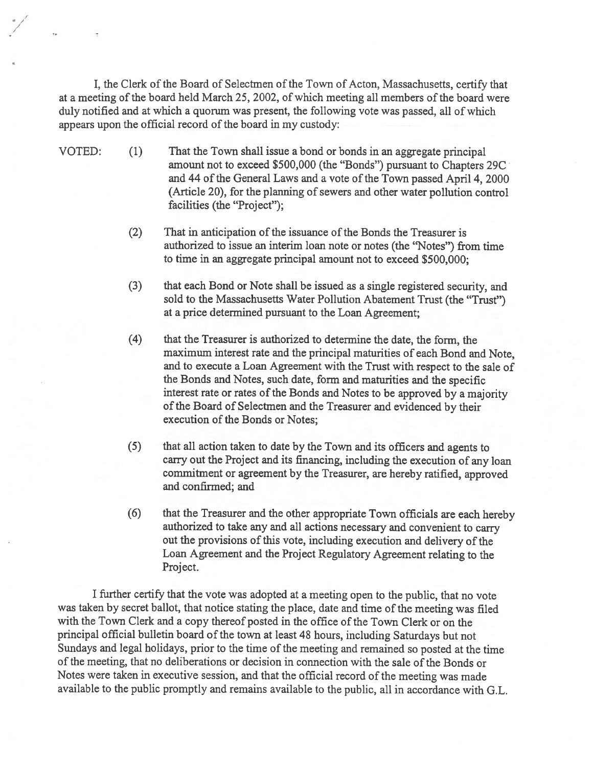I, the Clerk of the Board of Selectmen of the Town of Acton, Massachusetts, certify that at <sup>a</sup> meeting of the board held March 25, 2002, of which meeting all members of the board were duly notified and at which <sup>a</sup> quorum was present, the following vote was passed, all of which appears upon the official record of the board in my custody:

- VOTED: (1) That the Town shall issue <sup>a</sup> bond or bonds in an aggregate principal amount not to exceed \$500,000 (the "Bonds") pursuan<sup>t</sup> to Chapters 29C and 44 of the General Laws and a vote of the Town passed April 4, 2000 (Article 20), for the planning of sewers and other water pollution control facilities (the "Project");
	- (2) That in anticipation of the issuance of the Bonds the Treasurer is authorized to issue an interim loan note or notes (the "Notes") from time to time in an aggregate principal amount not to exceed \$500,000;
	- (3) that each Bond or Note shall be issued as <sup>a</sup> single registered security, and sold to the Massachusetts Water Pollution Abatement Trust (the "Trust") at <sup>a</sup> price determined pursuan<sup>t</sup> to the Loan Agreement;
	- (4) that the Treasurer is authorized to determine the date, the form, the maximum interest rate and the principal maturities of each Bond and Note, and to execute <sup>a</sup> Loan Agreement with the Trust with respec<sup>t</sup> to the sale of the Bonds and Notes, such date, form and maturities and the specific interest rate or rates of the Bonds and Notes to be approved by a majority of the Board of Selectmen and the Treasurer and evidenced by their execution of the Bonds or Notes;
	- (5) that all action taken to date by the Town and its officers and agents to carry out the Project and its financing, including the execution of any loan commitment or agreemen<sup>t</sup> by the Treasurer, are hereby ratified, approve<sup>d</sup> and confirmed; and
	- (6) that the Treasurer and the other appropriate Town officials are each hereby authorized to take any and all actions necessary and convenient to carry out the provisions of this vote, including execution and delivery of the Loan Agreement and the Project Regulatory Agreement relating to the Project.

<sup>I</sup> further certify that the vote was adopted at <sup>a</sup> meeting open to the public, that no vote was taken by secret ballot, that notice stating the place, date and time of the meeting was filed with the Town Clerk and <sup>a</sup> copy thereof posted in the office of the Town Clerk or on the principal official bulletin board of the town at least 48 hours, including Saturdays but not Sundays and legal holidays, prior to the time of the meeting and remained so posted at the time of the meeting, that no deliberations or decision in connection with the sale of the Bonds or Notes were taken in executive session, and that the official record of the meeting was made available to the public promptly and remains available to the public, all in accordance with G.L.